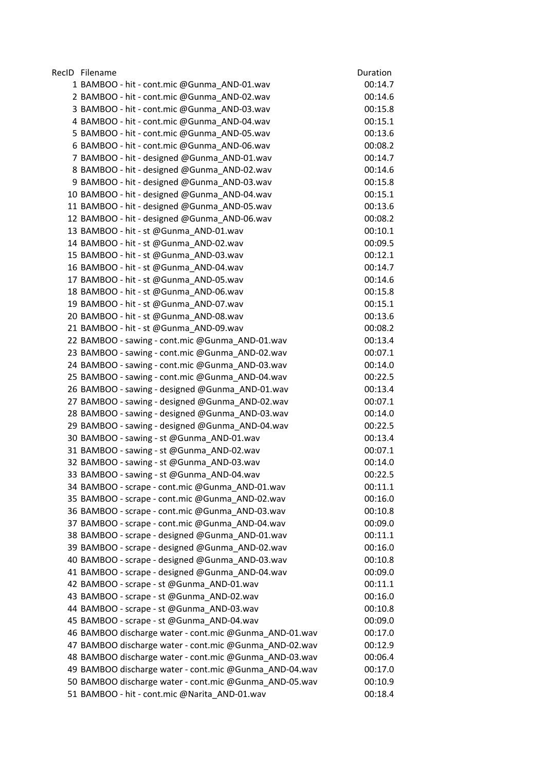| RecID Filename                                         | Duration |
|--------------------------------------------------------|----------|
| 1 BAMBOO - hit - cont.mic @Gunma_AND-01.wav            | 00:14.7  |
| 2 BAMBOO - hit - cont.mic @Gunma_AND-02.wav            | 00:14.6  |
| 3 BAMBOO - hit - cont.mic @Gunma_AND-03.wav            | 00:15.8  |
| 4 BAMBOO - hit - cont.mic @Gunma AND-04.wav            | 00:15.1  |
| 5 BAMBOO - hit - cont.mic @Gunma_AND-05.wav            | 00:13.6  |
| 6 BAMBOO - hit - cont.mic @Gunma_AND-06.wav            | 00:08.2  |
| 7 BAMBOO - hit - designed @Gunma_AND-01.wav            | 00:14.7  |
| 8 BAMBOO - hit - designed @Gunma_AND-02.wav            | 00:14.6  |
| 9 BAMBOO - hit - designed @Gunma_AND-03.wav            | 00:15.8  |
| 10 BAMBOO - hit - designed @Gunma_AND-04.wav           | 00:15.1  |
| 11 BAMBOO - hit - designed @Gunma_AND-05.wav           | 00:13.6  |
| 12 BAMBOO - hit - designed @Gunma_AND-06.wav           | 00:08.2  |
| 13 BAMBOO - hit - st @Gunma_AND-01.wav                 | 00:10.1  |
| 14 BAMBOO - hit - st @Gunma_AND-02.wav                 | 00:09.5  |
| 15 BAMBOO - hit - st @Gunma_AND-03.wav                 | 00:12.1  |
| 16 BAMBOO - hit - st @Gunma_AND-04.wav                 | 00:14.7  |
| 17 BAMBOO - hit - st @Gunma AND-05.wav                 | 00:14.6  |
| 18 BAMBOO - hit - st @Gunma_AND-06.wav                 | 00:15.8  |
| 19 BAMBOO - hit - st @Gunma_AND-07.wav                 | 00:15.1  |
| 20 BAMBOO - hit - st @Gunma_AND-08.wav                 | 00:13.6  |
| 21 BAMBOO - hit - st @Gunma AND-09.wav                 | 00:08.2  |
| 22 BAMBOO - sawing - cont.mic @Gunma_AND-01.wav        | 00:13.4  |
| 23 BAMBOO - sawing - cont.mic @Gunma_AND-02.wav        | 00:07.1  |
| 24 BAMBOO - sawing - cont.mic @Gunma_AND-03.wav        | 00:14.0  |
| 25 BAMBOO - sawing - cont.mic @Gunma_AND-04.wav        | 00:22.5  |
| 26 BAMBOO - sawing - designed @Gunma_AND-01.wav        | 00:13.4  |
| 27 BAMBOO - sawing - designed @Gunma_AND-02.wav        | 00:07.1  |
| 28 BAMBOO - sawing - designed @Gunma_AND-03.wav        | 00:14.0  |
| 29 BAMBOO - sawing - designed @Gunma_AND-04.wav        | 00:22.5  |
| 30 BAMBOO - sawing - st @Gunma_AND-01.wav              | 00:13.4  |
| 31 BAMBOO - sawing - st @Gunma_AND-02.wav              | 00:07.1  |
| 32 BAMBOO - sawing - st @Gunma AND-03.wav              | 00:14.0  |
| 33 BAMBOO - sawing - st @Gunma_AND-04.wav              | 00:22.5  |
| 34 BAMBOO - scrape - cont.mic @Gunma_AND-01.wav        | 00:11.1  |
| 35 BAMBOO - scrape - cont.mic @Gunma AND-02.wav        | 00:16.0  |
| 36 BAMBOO - scrape - cont.mic @Gunma AND-03.wav        | 00:10.8  |
| 37 BAMBOO - scrape - cont.mic @Gunma_AND-04.wav        | 00:09.0  |
| 38 BAMBOO - scrape - designed @Gunma_AND-01.wav        | 00:11.1  |
| 39 BAMBOO - scrape - designed @Gunma AND-02.wav        | 00:16.0  |
| 40 BAMBOO - scrape - designed @Gunma_AND-03.wav        | 00:10.8  |
| 41 BAMBOO - scrape - designed @Gunma AND-04.wav        | 00:09.0  |
| 42 BAMBOO - scrape - st @Gunma_AND-01.wav              | 00:11.1  |
| 43 BAMBOO - scrape - st @Gunma AND-02.wav              | 00:16.0  |
| 44 BAMBOO - scrape - st @Gunma_AND-03.wav              | 00:10.8  |
| 45 BAMBOO - scrape - st @Gunma_AND-04.wav              | 00:09.0  |
| 46 BAMBOO discharge water - cont.mic @Gunma_AND-01.wav | 00:17.0  |
| 47 BAMBOO discharge water - cont.mic @Gunma_AND-02.wav | 00:12.9  |
| 48 BAMBOO discharge water - cont.mic @Gunma_AND-03.wav | 00:06.4  |
| 49 BAMBOO discharge water - cont.mic @Gunma_AND-04.wav | 00:17.0  |
| 50 BAMBOO discharge water - cont.mic @Gunma_AND-05.wav | 00:10.9  |
| 51 BAMBOO - hit - cont.mic @Narita_AND-01.wav          | 00:18.4  |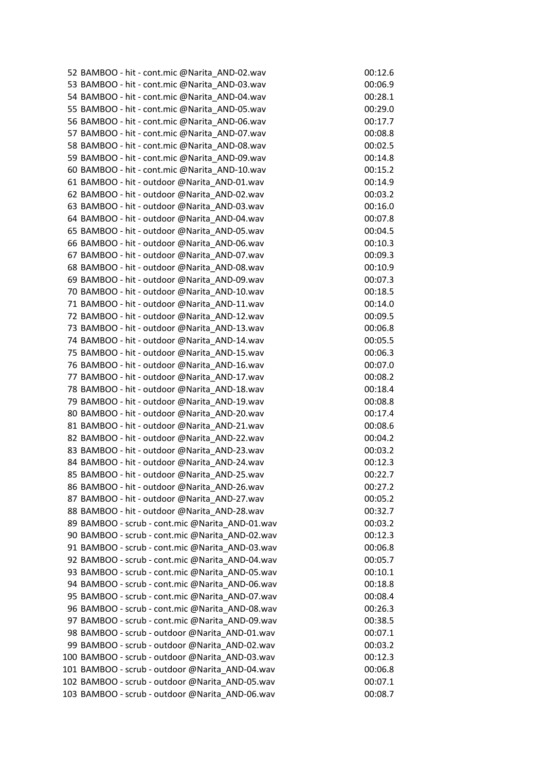| 52 BAMBOO - hit - cont.mic @Narita_AND-02.wav   | 00:12.6 |
|-------------------------------------------------|---------|
| 53 BAMBOO - hit - cont.mic @Narita AND-03.wav   | 00:06.9 |
| 54 BAMBOO - hit - cont.mic @Narita_AND-04.wav   | 00:28.1 |
| 55 BAMBOO - hit - cont.mic @Narita_AND-05.wav   | 00:29.0 |
| 56 BAMBOO - hit - cont.mic @Narita AND-06.wav   | 00:17.7 |
| 57 BAMBOO - hit - cont.mic @Narita AND-07.wav   | 00:08.8 |
| 58 BAMBOO - hit - cont.mic @Narita_AND-08.wav   | 00:02.5 |
| 59 BAMBOO - hit - cont.mic @Narita_AND-09.wav   | 00:14.8 |
| 60 BAMBOO - hit - cont.mic @Narita_AND-10.wav   | 00:15.2 |
| 61 BAMBOO - hit - outdoor @Narita_AND-01.wav    | 00:14.9 |
| 62 BAMBOO - hit - outdoor @Narita AND-02.wav    | 00:03.2 |
| 63 BAMBOO - hit - outdoor @Narita_AND-03.wav    | 00:16.0 |
| 64 BAMBOO - hit - outdoor @Narita_AND-04.wav    | 00:07.8 |
| 65 BAMBOO - hit - outdoor @Narita AND-05.wav    | 00:04.5 |
| 66 BAMBOO - hit - outdoor @Narita_AND-06.wav    | 00:10.3 |
| 67 BAMBOO - hit - outdoor @Narita AND-07.wav    | 00:09.3 |
| 68 BAMBOO - hit - outdoor @Narita_AND-08.wav    | 00:10.9 |
| 69 BAMBOO - hit - outdoor @Narita_AND-09.wav    | 00:07.3 |
| 70 BAMBOO - hit - outdoor @Narita_AND-10.wav    | 00:18.5 |
| 71 BAMBOO - hit - outdoor @Narita_AND-11.wav    | 00:14.0 |
| 72 BAMBOO - hit - outdoor @Narita_AND-12.wav    | 00:09.5 |
| 73 BAMBOO - hit - outdoor @Narita_AND-13.wav    | 00:06.8 |
| 74 BAMBOO - hit - outdoor @Narita_AND-14.wav    | 00:05.5 |
| 75 BAMBOO - hit - outdoor @Narita_AND-15.wav    | 00:06.3 |
| 76 BAMBOO - hit - outdoor @Narita_AND-16.wav    | 00:07.0 |
| 77 BAMBOO - hit - outdoor @Narita_AND-17.wav    | 00:08.2 |
| 78 BAMBOO - hit - outdoor @Narita_AND-18.wav    | 00:18.4 |
| 79 BAMBOO - hit - outdoor @Narita_AND-19.wav    | 00:08.8 |
| 80 BAMBOO - hit - outdoor @Narita_AND-20.wav    | 00:17.4 |
| 81 BAMBOO - hit - outdoor @Narita AND-21.wav    | 00:08.6 |
| 82 BAMBOO - hit - outdoor @Narita_AND-22.wav    | 00:04.2 |
| 83 BAMBOO - hit - outdoor @Narita_AND-23.wav    | 00:03.2 |
| 84 BAMBOO - hit - outdoor @Narita_AND-24.wav    | 00:12.3 |
| 85 BAMBOO - hit - outdoor @Narita AND-25.wav    | 00:22.7 |
| 86 BAMBOO - hit - outdoor @Narita_AND-26.wav    | 00:27.2 |
| 87 BAMBOO - hit - outdoor @Narita AND-27.wav    | 00:05.2 |
| 88 BAMBOO - hit - outdoor @Narita AND-28.wav    | 00:32.7 |
| 89 BAMBOO - scrub - cont.mic @Narita AND-01.wav | 00:03.2 |
| 90 BAMBOO - scrub - cont.mic @Narita_AND-02.wav | 00:12.3 |
| 91 BAMBOO - scrub - cont.mic @Narita AND-03.wav | 00:06.8 |
| 92 BAMBOO - scrub - cont.mic @Narita AND-04.wav | 00:05.7 |
| 93 BAMBOO - scrub - cont.mic @Narita AND-05.wav | 00:10.1 |
| 94 BAMBOO - scrub - cont.mic @Narita_AND-06.wav | 00:18.8 |
| 95 BAMBOO - scrub - cont.mic @Narita AND-07.wav | 00:08.4 |
|                                                 |         |
| 96 BAMBOO - scrub - cont.mic @Narita_AND-08.wav | 00:26.3 |
| 97 BAMBOO - scrub - cont.mic @Narita AND-09.wav | 00:38.5 |
| 98 BAMBOO - scrub - outdoor @Narita_AND-01.wav  | 00:07.1 |
| 99 BAMBOO - scrub - outdoor @Narita AND-02.wav  | 00:03.2 |
| 100 BAMBOO - scrub - outdoor @Narita_AND-03.wav | 00:12.3 |
| 101 BAMBOO - scrub - outdoor @Narita_AND-04.wav | 00:06.8 |
| 102 BAMBOO - scrub - outdoor @Narita_AND-05.wav | 00:07.1 |
| 103 BAMBOO - scrub - outdoor @Narita_AND-06.wav | 00:08.7 |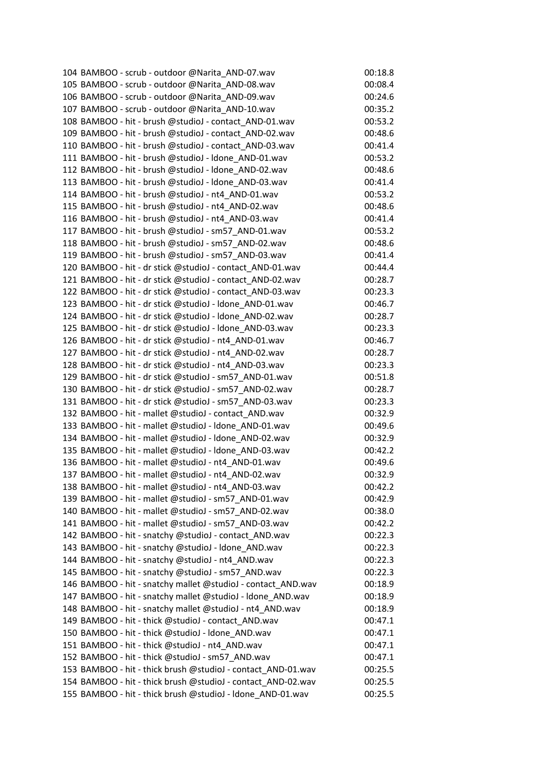| 104 BAMBOO - scrub - outdoor @Narita_AND-07.wav              | 00:18.8 |
|--------------------------------------------------------------|---------|
| 105 BAMBOO - scrub - outdoor @Narita_AND-08.wav              | 00:08.4 |
| 106 BAMBOO - scrub - outdoor @Narita_AND-09.wav              | 00:24.6 |
| 107 BAMBOO - scrub - outdoor @Narita_AND-10.wav              | 00:35.2 |
| 108 BAMBOO - hit - brush @studioJ - contact_AND-01.wav       | 00:53.2 |
| 109 BAMBOO - hit - brush @studioJ - contact AND-02.wav       | 00:48.6 |
| 110 BAMBOO - hit - brush @studioJ - contact_AND-03.wav       | 00:41.4 |
| 111 BAMBOO - hit - brush @studioJ - Idone AND-01.wav         | 00:53.2 |
| 112 BAMBOO - hit - brush @studioJ - Idone_AND-02.wav         | 00:48.6 |
| 113 BAMBOO - hit - brush @studioJ - Idone AND-03.wav         | 00:41.4 |
| 114 BAMBOO - hit - brush @studioJ - nt4_AND-01.wav           | 00:53.2 |
| 115 BAMBOO - hit - brush @studioJ - nt4_AND-02.wav           | 00:48.6 |
| 116 BAMBOO - hit - brush @studioJ - nt4_AND-03.wav           | 00:41.4 |
| 117 BAMBOO - hit - brush @studioJ - sm57_AND-01.wav          | 00:53.2 |
| 118 BAMBOO - hit - brush @studioJ - sm57_AND-02.wav          | 00:48.6 |
| 119 BAMBOO - hit - brush @studioJ - sm57 AND-03.wav          | 00:41.4 |
| 120 BAMBOO - hit - dr stick @studioJ - contact_AND-01.wav    | 00:44.4 |
| 121 BAMBOO - hit - dr stick @studioJ - contact_AND-02.wav    | 00:28.7 |
| 122 BAMBOO - hit - dr stick @studioJ - contact_AND-03.wav    | 00:23.3 |
| 123 BAMBOO - hit - dr stick @studioJ - Idone AND-01.wav      | 00:46.7 |
| 124 BAMBOO - hit - dr stick @studioJ - Idone_AND-02.wav      | 00:28.7 |
| 125 BAMBOO - hit - dr stick @studioJ - Idone AND-03.wav      | 00:23.3 |
| 126 BAMBOO - hit - dr stick @studioJ - nt4_AND-01.wav        | 00:46.7 |
| 127 BAMBOO - hit - dr stick @studioJ - nt4 AND-02.wav        | 00:28.7 |
| 128 BAMBOO - hit - dr stick @studioJ - nt4_AND-03.wav        | 00:23.3 |
| 129 BAMBOO - hit - dr stick @studioJ - sm57 AND-01.wav       | 00:51.8 |
| 130 BAMBOO - hit - dr stick @studioJ - sm57_AND-02.wav       | 00:28.7 |
| 131 BAMBOO - hit - dr stick @studioJ - sm57_AND-03.wav       | 00:23.3 |
| 132 BAMBOO - hit - mallet @studioJ - contact_AND.wav         | 00:32.9 |
| 133 BAMBOO - hit - mallet @studioJ - Idone_AND-01.wav        | 00:49.6 |
| 134 BAMBOO - hit - mallet @studioJ - Idone_AND-02.wav        | 00:32.9 |
| 135 BAMBOO - hit - mallet @studioJ - Idone AND-03.wav        | 00:42.2 |
| 136 BAMBOO - hit - mallet @studioJ - nt4_AND-01.wav          | 00:49.6 |
| 137 BAMBOO - hit - mallet @studioJ - nt4_AND-02.wav          | 00:32.9 |
| 138 BAMBOO - hit - mallet @studioJ - nt4_AND-03.wav          | 00:42.2 |
| 139 BAMBOO - hit - mallet @studioJ - sm57 AND-01.wav         | 00:42.9 |
| 140 BAMBOO - hit - mallet @studioJ - sm57_AND-02.wav         | 00:38.0 |
| 141 BAMBOO - hit - mallet @studioJ - sm57 AND-03.wav         | 00:42.2 |
| 142 BAMBOO - hit - snatchy @studioJ - contact_AND.wav        | 00:22.3 |
| 143 BAMBOO - hit - snatchy @studioJ - Idone AND.wav          | 00:22.3 |
| 144 BAMBOO - hit - snatchy @studioJ - nt4_AND.wav            | 00:22.3 |
| 145 BAMBOO - hit - snatchy @studioJ - sm57 AND.wav           | 00:22.3 |
| 146 BAMBOO - hit - snatchy mallet @studioJ - contact_AND.wav | 00:18.9 |
| 147 BAMBOO - hit - snatchy mallet @studioJ - Idone_AND.wav   | 00:18.9 |
| 148 BAMBOO - hit - snatchy mallet @studioJ - nt4_AND.wav     | 00:18.9 |
| 149 BAMBOO - hit - thick @studioJ - contact AND.wav          | 00:47.1 |
| 150 BAMBOO - hit - thick @studioJ - Idone_AND.wav            | 00:47.1 |
| 151 BAMBOO - hit - thick @studioJ - nt4 AND.wav              | 00:47.1 |
| 152 BAMBOO - hit - thick @studioJ - sm57_AND.wav             | 00:47.1 |
| 153 BAMBOO - hit - thick brush @studioJ - contact_AND-01.wav | 00:25.5 |
| 154 BAMBOO - hit - thick brush @studioJ - contact_AND-02.wav | 00:25.5 |
| 155 BAMBOO - hit - thick brush @studioJ - Idone_AND-01.wav   | 00:25.5 |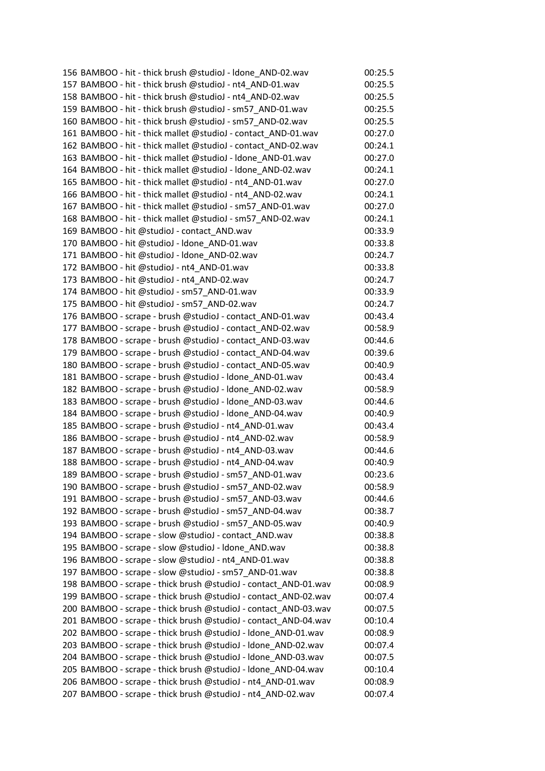| 156 BAMBOO - hit - thick brush @studioJ - Idone AND-02.wav      | 00:25.5 |
|-----------------------------------------------------------------|---------|
| 157 BAMBOO - hit - thick brush @studioJ - nt4_AND-01.wav        | 00:25.5 |
| 158 BAMBOO - hit - thick brush @studioJ - nt4_AND-02.wav        | 00:25.5 |
| 159 BAMBOO - hit - thick brush @studioJ - sm57_AND-01.wav       | 00:25.5 |
| 160 BAMBOO - hit - thick brush @studioJ - sm57_AND-02.wav       | 00:25.5 |
| 161 BAMBOO - hit - thick mallet @studioJ - contact AND-01.wav   | 00:27.0 |
| 162 BAMBOO - hit - thick mallet @studioJ - contact_AND-02.wav   | 00:24.1 |
| 163 BAMBOO - hit - thick mallet @studioJ - Idone AND-01.wav     | 00:27.0 |
| 164 BAMBOO - hit - thick mallet @studioJ - Idone_AND-02.wav     | 00:24.1 |
| 165 BAMBOO - hit - thick mallet @studioJ - nt4 AND-01.wav       | 00:27.0 |
| 166 BAMBOO - hit - thick mallet @studioJ - nt4_AND-02.wav       | 00:24.1 |
| 167 BAMBOO - hit - thick mallet @studioJ - sm57_AND-01.wav      | 00:27.0 |
| 168 BAMBOO - hit - thick mallet @studioJ - sm57_AND-02.wav      | 00:24.1 |
| 169 BAMBOO - hit @studioJ - contact_AND.wav                     | 00:33.9 |
| 170 BAMBOO - hit @studioJ - Idone_AND-01.wav                    | 00:33.8 |
| 171 BAMBOO - hit @studioJ - Idone AND-02.wav                    | 00:24.7 |
| 172 BAMBOO - hit @studioJ - nt4 AND-01.wav                      | 00:33.8 |
| 173 BAMBOO - hit @studioJ - nt4 AND-02.wav                      | 00:24.7 |
| 174 BAMBOO - hit @studioJ - sm57_AND-01.wav                     | 00:33.9 |
| 175 BAMBOO - hit @studioJ - sm57_AND-02.wav                     | 00:24.7 |
| 176 BAMBOO - scrape - brush @studioJ - contact_AND-01.wav       | 00:43.4 |
| 177 BAMBOO - scrape - brush @studioJ - contact_AND-02.wav       | 00:58.9 |
| 178 BAMBOO - scrape - brush @studioJ - contact_AND-03.wav       | 00:44.6 |
| 179 BAMBOO - scrape - brush @studioJ - contact_AND-04.wav       | 00:39.6 |
| 180 BAMBOO - scrape - brush @studioJ - contact_AND-05.wav       | 00:40.9 |
| 181 BAMBOO - scrape - brush @studioJ - Idone_AND-01.wav         | 00:43.4 |
| 182 BAMBOO - scrape - brush @studioJ - Idone_AND-02.wav         | 00:58.9 |
| 183 BAMBOO - scrape - brush @studioJ - Idone_AND-03.wav         | 00:44.6 |
| 184 BAMBOO - scrape - brush @studioJ - Idone_AND-04.wav         | 00:40.9 |
| 185 BAMBOO - scrape - brush @studioJ - nt4 AND-01.wav           | 00:43.4 |
| 186 BAMBOO - scrape - brush @studioJ - nt4 AND-02.wav           | 00:58.9 |
| 187 BAMBOO - scrape - brush @studioJ - nt4_AND-03.wav           | 00:44.6 |
| 188 BAMBOO - scrape - brush @studioJ - nt4_AND-04.wav           | 00:40.9 |
| 189 BAMBOO - scrape - brush @studioJ - sm57_AND-01.wav          | 00:23.6 |
| 190 BAMBOO - scrape - brush @studioJ - sm57_AND-02.wav          | 00:58.9 |
| 191 BAMBOO - scrape - brush @studioJ - sm57 AND-03.wav          | 00:44.6 |
| 192 BAMBOO - scrape - brush @studioJ - sm57_AND-04.wav          | 00:38.7 |
| 193 BAMBOO - scrape - brush @studioJ - sm57 AND-05.wav          | 00:40.9 |
| 194 BAMBOO - scrape - slow @studioJ - contact_AND.wav           | 00:38.8 |
| 195 BAMBOO - scrape - slow @studioJ - Idone_AND.wav             | 00:38.8 |
| 196 BAMBOO - scrape - slow @studioJ - nt4_AND-01.wav            | 00:38.8 |
| 197 BAMBOO - scrape - slow @studioJ - sm57_AND-01.wav           | 00:38.8 |
| 198 BAMBOO - scrape - thick brush @studioJ - contact_AND-01.wav | 00:08.9 |
| 199 BAMBOO - scrape - thick brush @studioJ - contact_AND-02.wav | 00:07.4 |
| 200 BAMBOO - scrape - thick brush @studioJ - contact_AND-03.wav | 00:07.5 |
| 201 BAMBOO - scrape - thick brush @studioJ - contact_AND-04.wav | 00:10.4 |
| 202 BAMBOO - scrape - thick brush @studioJ - Idone_AND-01.wav   | 00:08.9 |
| 203 BAMBOO - scrape - thick brush @studioJ - Idone_AND-02.wav   | 00:07.4 |
| 204 BAMBOO - scrape - thick brush @studioJ - Idone_AND-03.wav   | 00:07.5 |
| 205 BAMBOO - scrape - thick brush @studioJ - Idone_AND-04.wav   | 00:10.4 |
| 206 BAMBOO - scrape - thick brush @studioJ - nt4_AND-01.wav     | 00:08.9 |
| 207 BAMBOO - scrape - thick brush @studioJ - nt4_AND-02.wav     | 00:07.4 |
|                                                                 |         |